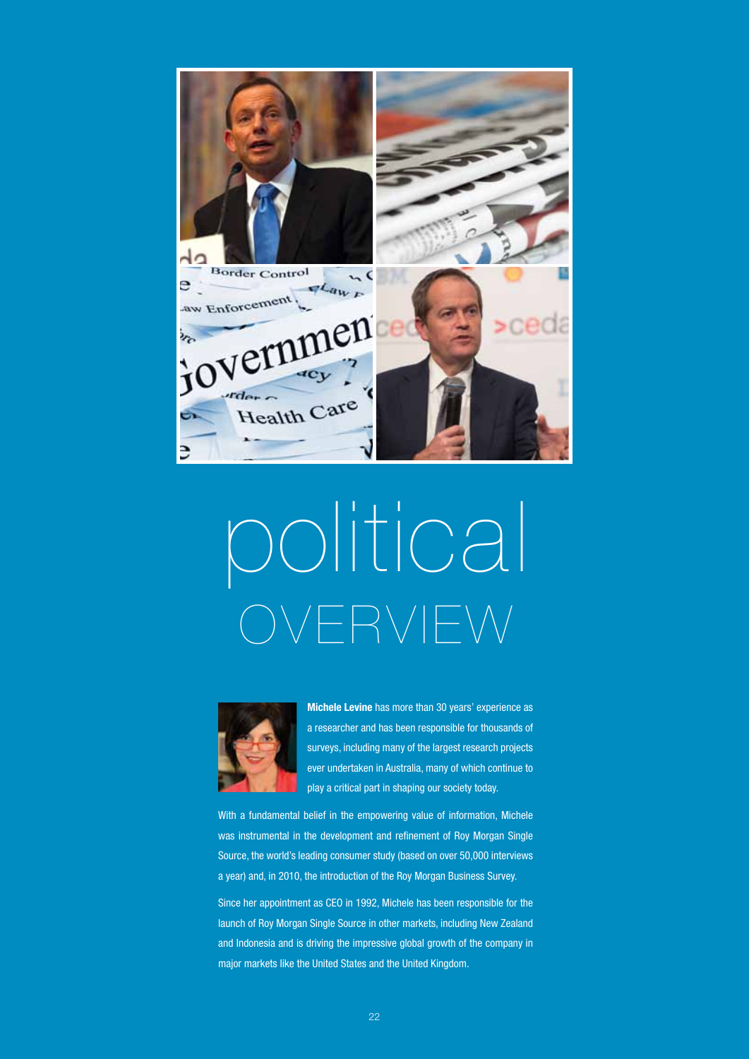

# political OVERVIEW



**Michele Levine** has more than 30 years' experience as a researcher and has been responsible for thousands of surveys, including many of the largest research projects ever undertaken in Australia, many of which continue to play a critical part in shaping our society today.

With a fundamental belief in the empowering value of information, Michele was instrumental in the development and refinement of Roy Morgan Single Source, the world's leading consumer study (based on over 50,000 interviews a year) and, in 2010, the introduction of the Roy Morgan Business Survey.

Since her appointment as CEO in 1992, Michele has been responsible for the launch of Roy Morgan Single Source in other markets, including New Zealand and Indonesia and is driving the impressive global growth of the company in major markets like the United States and the United Kingdom.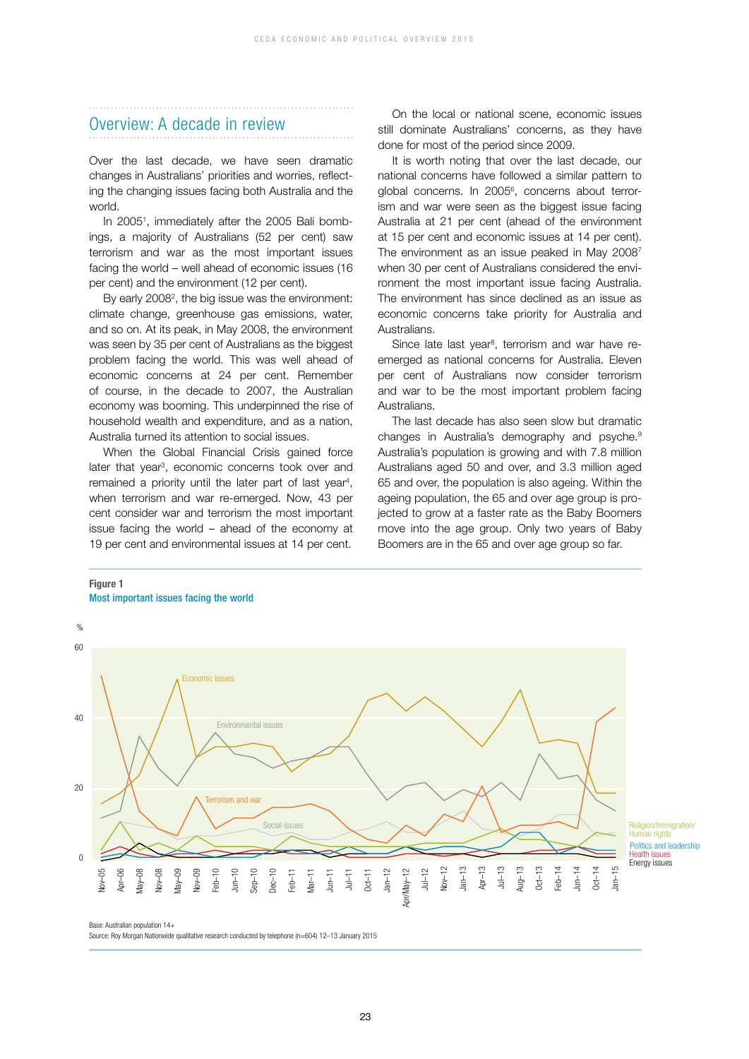### Overview: A decade in review

Over the last decade, we have seen dramatic changes in Australians' priorities and worries, reflecting the changing issues facing both Australia and the world.

In 20051 , immediately after the 2005 Bali bombings, a majority of Australians (52 per cent) saw terrorism and war as the most important issues facing the world – well ahead of economic issues (16 per cent) and the environment (12 per cent).

By early 2008<sup>2</sup>, the big issue was the environment: climate change, greenhouse gas emissions, water, and so on. At its peak, in May 2008, the environment was seen by 35 per cent of Australians as the biggest problem facing the world. This was well ahead of economic concerns at 24 per cent. Remember of course, in the decade to 2007, the Australian economy was booming. This underpinned the rise of household wealth and expenditure, and as a nation, Australia turned its attention to social issues.

When the Global Financial Crisis gained force later that year<sup>3</sup>, economic concerns took over and remained a priority until the later part of last year<sup>4</sup>, when terrorism and war re-emerged. Now, 43 per cent consider war and terrorism the most important issue facing the world – ahead of the economy at 19 per cent and environmental issues at 14 per cent.

On the local or national scene, economic issues still dominate Australians' concerns, as they have done for most of the period since 2009.

It is worth noting that over the last decade, our national concerns have followed a similar pattern to global concerns. In 2005<sup>6</sup>, concerns about terrorism and war were seen as the biggest issue facing Australia at 21 per cent (ahead of the environment at 15 per cent and economic issues at 14 per cent). The environment as an issue peaked in May 2008<sup>7</sup> when 30 per cent of Australians considered the environment the most important issue facing Australia. The environment has since declined as an issue as economic concerns take priority for Australia and Australians.

Since late last year<sup>8</sup>, terrorism and war have reemerged as national concerns for Australia. Eleven per cent of Australians now consider terrorism and war to be the most important problem facing **Australians** 

The last decade has also seen slow but dramatic changes in Australia's demography and psyche.9 Australia's population is growing and with 7.8 million Australians aged 50 and over, and 3.3 million aged 65 and over, the population is also ageing. Within the ageing population, the 65 and over age group is projected to grow at a faster rate as the Baby Boomers move into the age group. Only two years of Baby Boomers are in the 65 and over age group so far.

### **Figure 1** Most important issues facing the world



23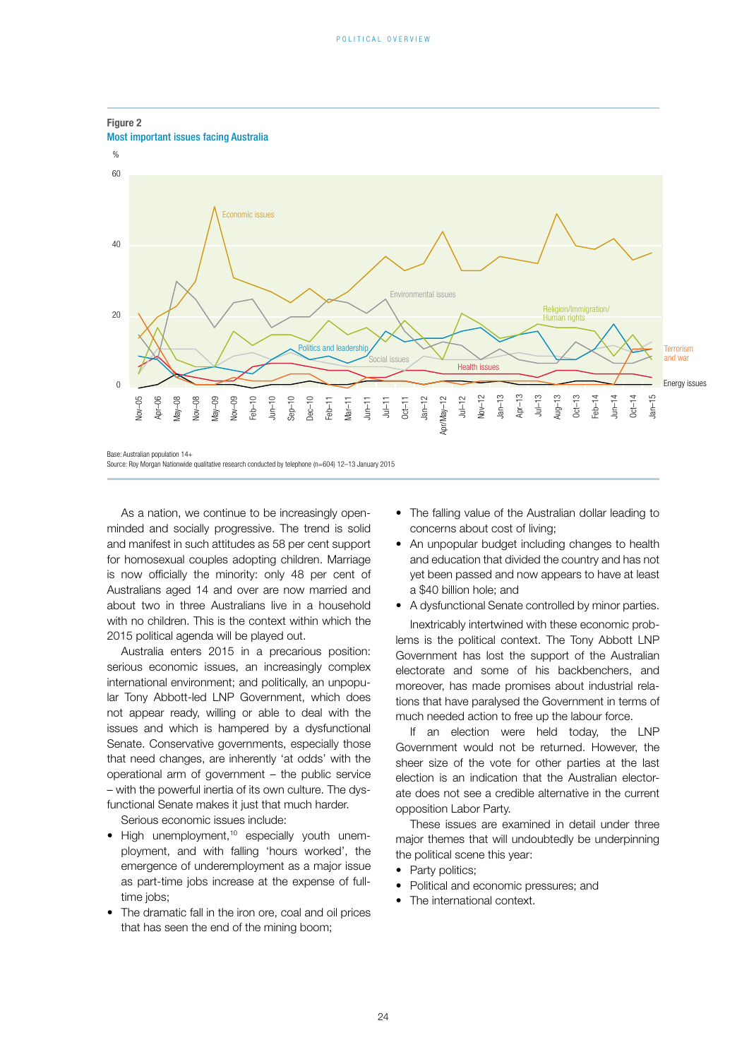

### **Figure 2**

Base: Australian population 14+

As a nation, we continue to be increasingly openminded and socially progressive. The trend is solid and manifest in such attitudes as 58 per cent support for homosexual couples adopting children. Marriage is now officially the minority: only 48 per cent of Australians aged 14 and over are now married and about two in three Australians live in a household with no children. This is the context within which the 2015 political agenda will be played out.

Australia enters 2015 in a precarious position: serious economic issues, an increasingly complex international environment; and politically, an unpopular Tony Abbott-led LNP Government, which does not appear ready, willing or able to deal with the issues and which is hampered by a dysfunctional Senate. Conservative governments, especially those that need changes, are inherently 'at odds' with the operational arm of government – the public service – with the powerful inertia of its own culture. The dysfunctional Senate makes it just that much harder.

Serious economic issues include:

- High unemployment,<sup>10</sup> especially youth unemployment, and with falling 'hours worked', the emergence of underemployment as a major issue as part-time jobs increase at the expense of fulltime jobs:
- The dramatic fall in the iron ore, coal and oil prices that has seen the end of the mining boom;
- The falling value of the Australian dollar leading to concerns about cost of living;
- An unpopular budget including changes to health and education that divided the country and has not yet been passed and now appears to have at least a \$40 billion hole; and
- A dysfunctional Senate controlled by minor parties.

Inextricably intertwined with these economic problems is the political context. The Tony Abbott LNP Government has lost the support of the Australian electorate and some of his backbenchers, and moreover, has made promises about industrial relations that have paralysed the Government in terms of much needed action to free up the labour force.

If an election were held today, the LNP Government would not be returned. However, the sheer size of the vote for other parties at the last election is an indication that the Australian electorate does not see a credible alternative in the current opposition Labor Party.

These issues are examined in detail under three major themes that will undoubtedly be underpinning the political scene this year:

- Party politics;
- Political and economic pressures; and
- The international context.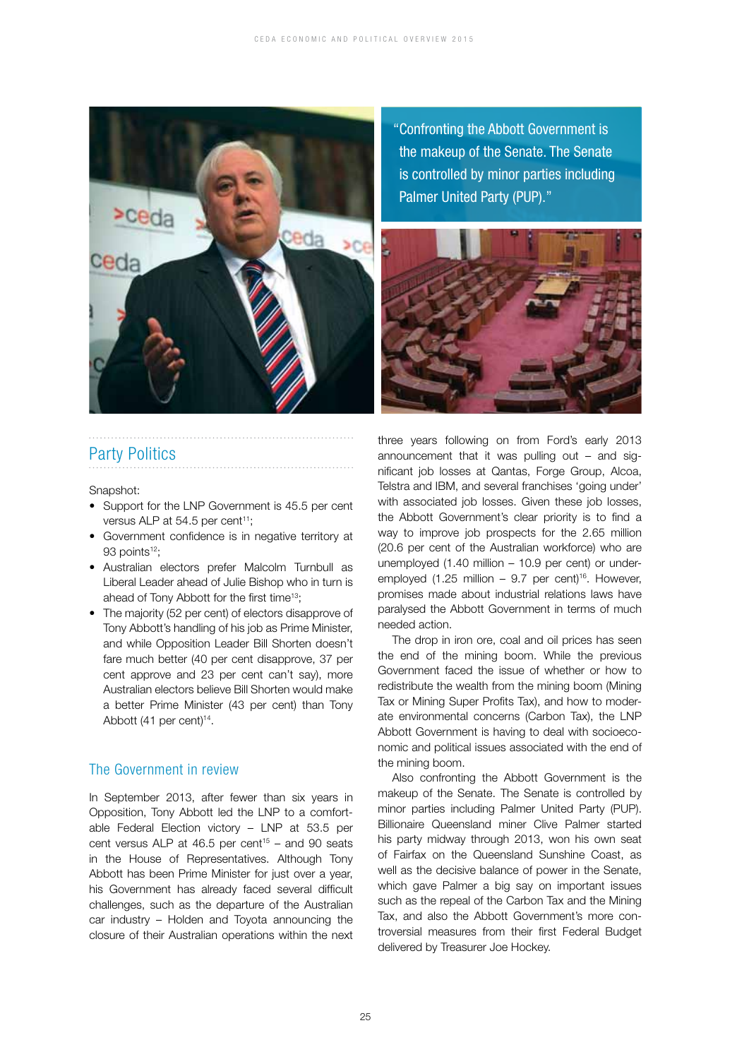

"Confronting the Abbott Government is the makeup of the Senate. The Senate is controlled by minor parties including Palmer United Party (PUP)."



### Party Politics

Snapshot:

- Support for the LNP Government is 45.5 per cent versus ALP at 54.5 per cent<sup>11</sup>;
- Government confidence is in negative territory at 93 points<sup>12</sup>:
- Australian electors prefer Malcolm Turnbull as Liberal Leader ahead of Julie Bishop who in turn is ahead of Tony Abbott for the first time<sup>13</sup>;
- The majority (52 per cent) of electors disapprove of Tony Abbott's handling of his job as Prime Minister, and while Opposition Leader Bill Shorten doesn't fare much better (40 per cent disapprove, 37 per cent approve and 23 per cent can't say), more Australian electors believe Bill Shorten would make a better Prime Minister (43 per cent) than Tony Abbott (41 per cent)<sup>14</sup>.

### The Government in review

In September 2013, after fewer than six years in Opposition, Tony Abbott led the LNP to a comfortable Federal Election victory – LNP at 53.5 per cent versus ALP at  $46.5$  per cent<sup>15</sup> – and 90 seats in the House of Representatives. Although Tony Abbott has been Prime Minister for just over a year, his Government has already faced several difficult challenges, such as the departure of the Australian car industry – Holden and Toyota announcing the closure of their Australian operations within the next three years following on from Ford's early 2013 announcement that it was pulling out – and significant job losses at Qantas, Forge Group, Alcoa, Telstra and IBM, and several franchises 'going under' with associated job losses. Given these job losses, the Abbott Government's clear priority is to find a way to improve job prospects for the 2.65 million (20.6 per cent of the Australian workforce) who are unemployed (1.40 million – 10.9 per cent) or underemployed (1.25 million – 9.7 per cent)<sup>16</sup>. However, promises made about industrial relations laws have paralysed the Abbott Government in terms of much needed action.

The drop in iron ore, coal and oil prices has seen the end of the mining boom. While the previous Government faced the issue of whether or how to redistribute the wealth from the mining boom (Mining Tax or Mining Super Profits Tax), and how to moderate environmental concerns (Carbon Tax), the LNP Abbott Government is having to deal with socioeconomic and political issues associated with the end of the mining boom.

Also confronting the Abbott Government is the makeup of the Senate. The Senate is controlled by minor parties including Palmer United Party (PUP). Billionaire Queensland miner Clive Palmer started his party midway through 2013, won his own seat of Fairfax on the Queensland Sunshine Coast, as well as the decisive balance of power in the Senate, which gave Palmer a big say on important issues such as the repeal of the Carbon Tax and the Mining Tax, and also the Abbott Government's more controversial measures from their first Federal Budget delivered by Treasurer Joe Hockey.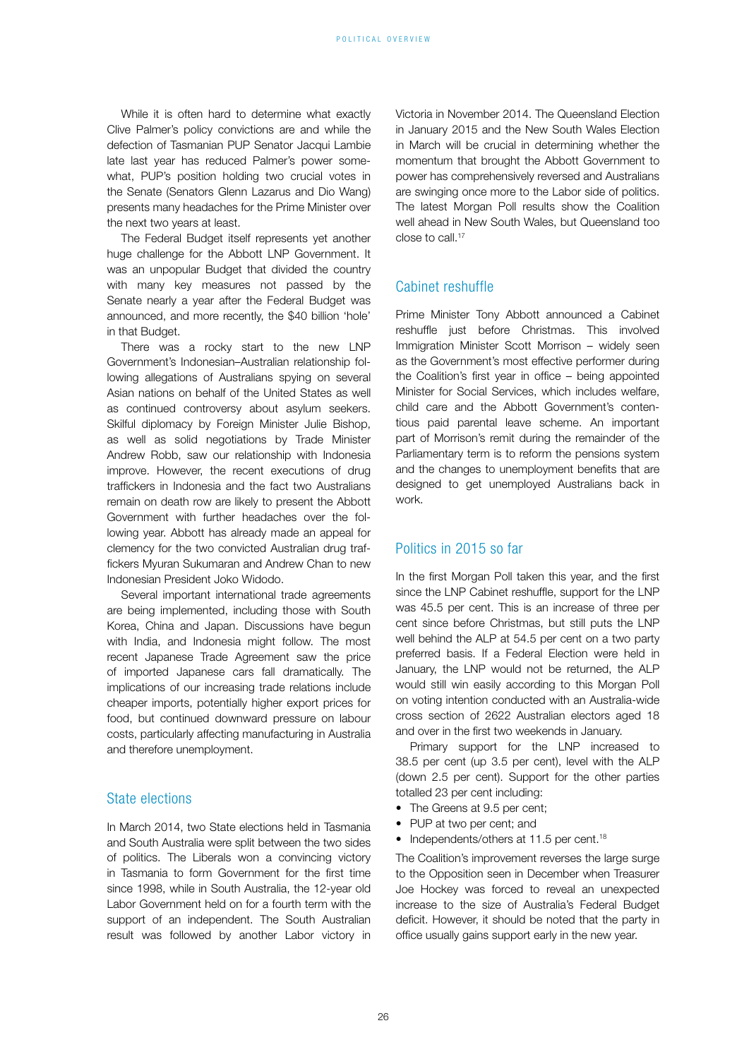While it is often hard to determine what exactly Clive Palmer's policy convictions are and while the defection of Tasmanian PUP Senator Jacqui Lambie late last year has reduced Palmer's power somewhat, PUP's position holding two crucial votes in the Senate (Senators Glenn Lazarus and Dio Wang) presents many headaches for the Prime Minister over the next two years at least.

The Federal Budget itself represents yet another huge challenge for the Abbott LNP Government. It was an unpopular Budget that divided the country with many key measures not passed by the Senate nearly a year after the Federal Budget was announced, and more recently, the \$40 billion 'hole' in that Budget.

There was a rocky start to the new LNP Government's Indonesian–Australian relationship following allegations of Australians spying on several Asian nations on behalf of the United States as well as continued controversy about asylum seekers. Skilful diplomacy by Foreign Minister Julie Bishop, as well as solid negotiations by Trade Minister Andrew Robb, saw our relationship with Indonesia improve. However, the recent executions of drug traffickers in Indonesia and the fact two Australians remain on death row are likely to present the Abbott Government with further headaches over the following year. Abbott has already made an appeal for clemency for the two convicted Australian drug traffickers Myuran Sukumaran and Andrew Chan to new Indonesian President Joko Widodo.

Several important international trade agreements are being implemented, including those with South Korea, China and Japan. Discussions have begun with India, and Indonesia might follow. The most recent Japanese Trade Agreement saw the price of imported Japanese cars fall dramatically. The implications of our increasing trade relations include cheaper imports, potentially higher export prices for food, but continued downward pressure on labour costs, particularly affecting manufacturing in Australia and therefore unemployment.

### State elections

In March 2014, two State elections held in Tasmania and South Australia were split between the two sides of politics. The Liberals won a convincing victory in Tasmania to form Government for the first time since 1998, while in South Australia, the 12-year old Labor Government held on for a fourth term with the support of an independent. The South Australian result was followed by another Labor victory in Victoria in November 2014. The Queensland Election in January 2015 and the New South Wales Election in March will be crucial in determining whether the momentum that brought the Abbott Government to power has comprehensively reversed and Australians are swinging once more to the Labor side of politics. The latest Morgan Poll results show the Coalition well ahead in New South Wales, but Queensland too close to call.17

### Cabinet reshuffle

Prime Minister Tony Abbott announced a Cabinet reshuffle just before Christmas. This involved Immigration Minister Scott Morrison – widely seen as the Government's most effective performer during the Coalition's first year in office – being appointed Minister for Social Services, which includes welfare, child care and the Abbott Government's contentious paid parental leave scheme. An important part of Morrison's remit during the remainder of the Parliamentary term is to reform the pensions system and the changes to unemployment benefits that are designed to get unemployed Australians back in work.

### Politics in 2015 so far

In the first Morgan Poll taken this year, and the first since the LNP Cabinet reshuffle, support for the LNP was 45.5 per cent. This is an increase of three per cent since before Christmas, but still puts the LNP well behind the ALP at 54.5 per cent on a two party preferred basis. If a Federal Election were held in January, the LNP would not be returned, the ALP would still win easily according to this Morgan Poll on voting intention conducted with an Australia-wide cross section of 2622 Australian electors aged 18 and over in the first two weekends in January.

Primary support for the LNP increased to 38.5 per cent (up 3.5 per cent), level with the ALP (down 2.5 per cent). Support for the other parties totalled 23 per cent including:

- The Greens at 9.5 per cent:
- PUP at two per cent; and
- Independents/others at 11.5 per cent.<sup>18</sup>

The Coalition's improvement reverses the large surge to the Opposition seen in December when Treasurer Joe Hockey was forced to reveal an unexpected increase to the size of Australia's Federal Budget deficit. However, it should be noted that the party in office usually gains support early in the new year.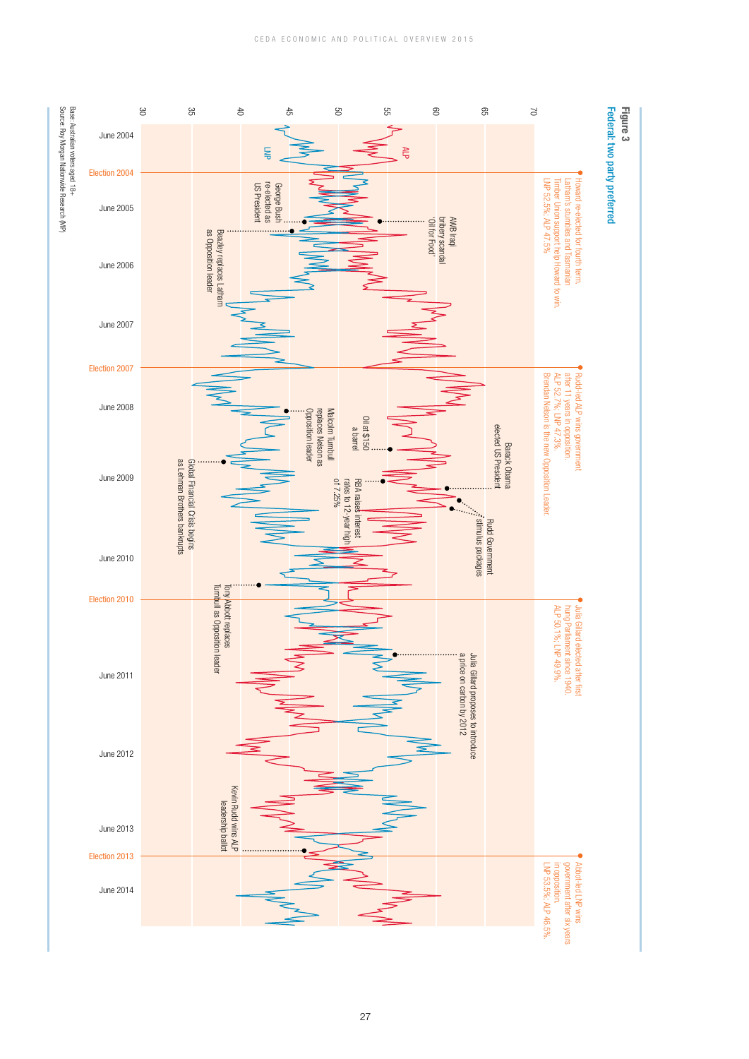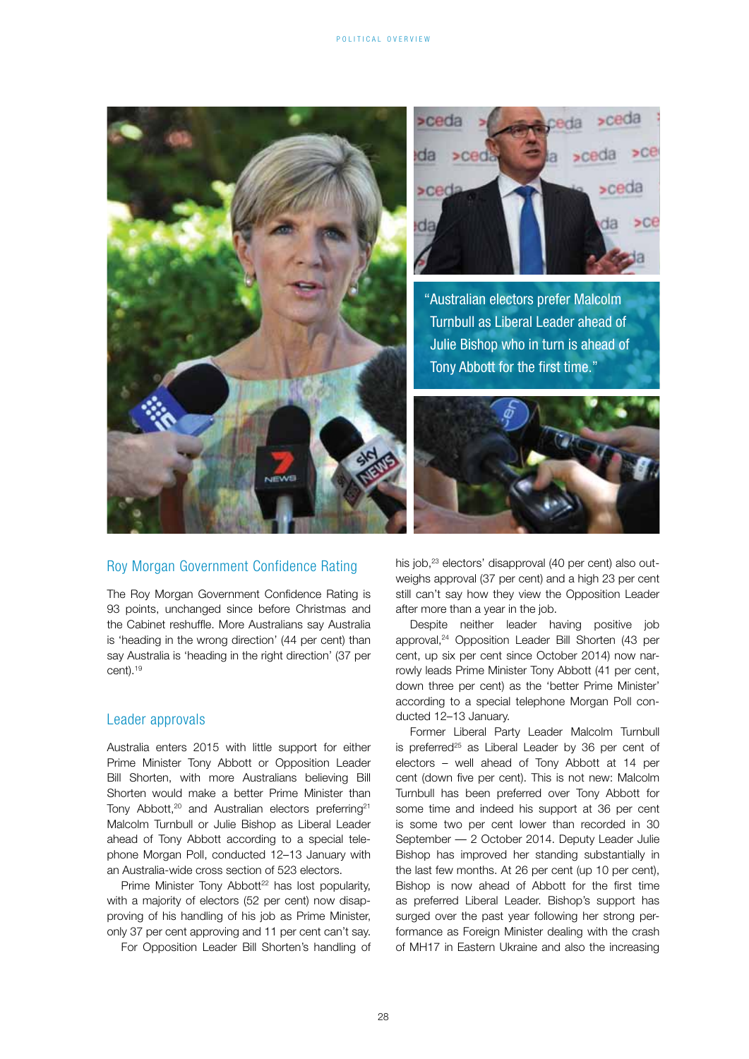

### Roy Morgan Government Confidence Rating

The Roy Morgan Government Confidence Rating is 93 points, unchanged since before Christmas and the Cabinet reshuffle. More Australians say Australia is 'heading in the wrong direction' (44 per cent) than say Australia is 'heading in the right direction' (37 per cent).19

### Leader approvals

Australia enters 2015 with little support for either Prime Minister Tony Abbott or Opposition Leader Bill Shorten, with more Australians believing Bill Shorten would make a better Prime Minister than Tony Abbott.<sup>20</sup> and Australian electors preferring<sup>21</sup> Malcolm Turnbull or Julie Bishop as Liberal Leader ahead of Tony Abbott according to a special telephone Morgan Poll, conducted 12–13 January with an Australia-wide cross section of 523 electors.

Prime Minister Tony Abbott<sup>22</sup> has lost popularity. with a majority of electors (52 per cent) now disapproving of his handling of his job as Prime Minister, only 37 per cent approving and 11 per cent can't say.

For Opposition Leader Bill Shorten's handling of

his job,<sup>23</sup> electors' disapproval (40 per cent) also outweighs approval (37 per cent) and a high 23 per cent still can't say how they view the Opposition Leader after more than a year in the job.

Despite neither leader having positive job approval,24 Opposition Leader Bill Shorten (43 per cent, up six per cent since October 2014) now narrowly leads Prime Minister Tony Abbott (41 per cent, down three per cent) as the 'better Prime Minister' according to a special telephone Morgan Poll conducted 12–13 January.

Former Liberal Party Leader Malcolm Turnbull is preferred<sup>25</sup> as Liberal Leader by 36 per cent of electors – well ahead of Tony Abbott at 14 per cent (down five per cent). This is not new: Malcolm Turnbull has been preferred over Tony Abbott for some time and indeed his support at 36 per cent is some two per cent lower than recorded in 30 September — 2 October 2014. Deputy Leader Julie Bishop has improved her standing substantially in the last few months. At 26 per cent (up 10 per cent), Bishop is now ahead of Abbott for the first time as preferred Liberal Leader. Bishop's support has surged over the past year following her strong performance as Foreign Minister dealing with the crash of MH17 in Eastern Ukraine and also the increasing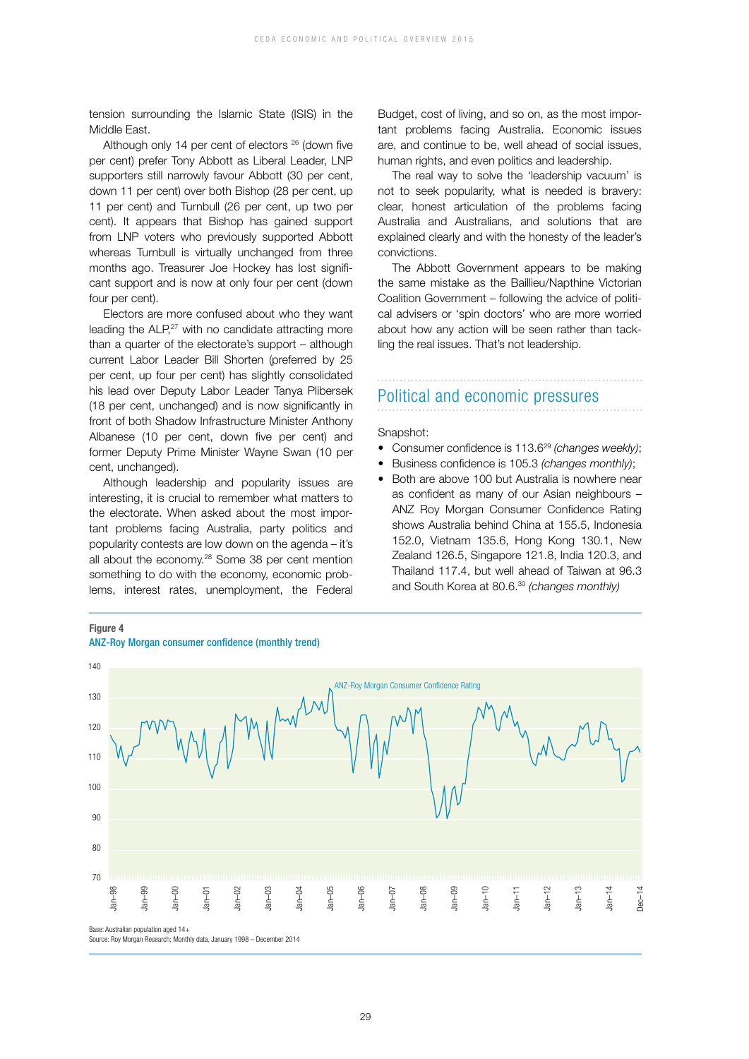tension surrounding the Islamic State (ISIS) in the Middle East.

Although only 14 per cent of electors <sup>26</sup> (down five per cent) prefer Tony Abbott as Liberal Leader, LNP supporters still narrowly favour Abbott (30 per cent, down 11 per cent) over both Bishop (28 per cent, up 11 per cent) and Turnbull (26 per cent, up two per cent). It appears that Bishop has gained support from LNP voters who previously supported Abbott whereas Turnbull is virtually unchanged from three months ago. Treasurer Joe Hockey has lost significant support and is now at only four per cent (down four per cent).

Electors are more confused about who they want leading the ALP.<sup>27</sup> with no candidate attracting more than a quarter of the electorate's support – although current Labor Leader Bill Shorten (preferred by 25 per cent, up four per cent) has slightly consolidated his lead over Deputy Labor Leader Tanya Plibersek (18 per cent, unchanged) and is now significantly in front of both Shadow Infrastructure Minister Anthony Albanese (10 per cent, down five per cent) and former Deputy Prime Minister Wayne Swan (10 per cent, unchanged).

Although leadership and popularity issues are interesting, it is crucial to remember what matters to the electorate. When asked about the most important problems facing Australia, party politics and popularity contests are low down on the agenda – it's all about the economy.<sup>28</sup> Some 38 per cent mention something to do with the economy, economic problems, interest rates, unemployment, the Federal Budget, cost of living, and so on, as the most important problems facing Australia. Economic issues are, and continue to be, well ahead of social issues, human rights, and even politics and leadership.

The real way to solve the 'leadership vacuum' is not to seek popularity, what is needed is bravery: clear, honest articulation of the problems facing Australia and Australians, and solutions that are explained clearly and with the honesty of the leader's convictions.

The Abbott Government appears to be making the same mistake as the Baillieu/Napthine Victorian Coalition Government – following the advice of political advisers or 'spin doctors' who are more worried about how any action will be seen rather than tackling the real issues. That's not leadership.

## Political and economic pressures

Snapshot:

- Consumer confidence is 113.6<sup>29</sup> (changes weekly);
- Business confidence is 105.3 *(changes monthly)*;
- Both are above 100 but Australia is nowhere near as confident as many of our Asian neighbours – ANZ Roy Morgan Consumer Confidence Rating shows Australia behind China at 155.5, Indonesia 152.0, Vietnam 135.6, Hong Kong 130.1, New Zealand 126.5, Singapore 121.8, India 120.3, and Thailand 117.4, but well ahead of Taiwan at 96.3 and South Korea at 80.6.30 *(changes monthly)*



### **Figure 4**

ANZ-Roy Morgan consumer confidence (monthly trend)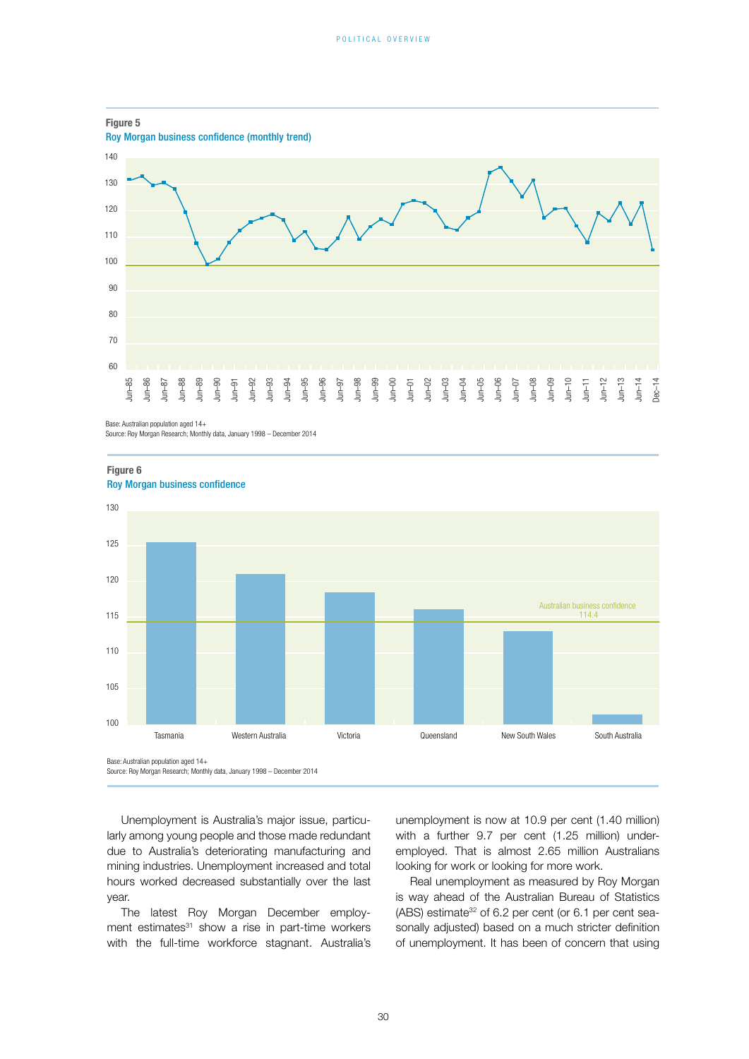

Base: Australian population aged 14+

![](_page_8_Figure_4.jpeg)

**Figure 6**

Source: Roy Morgan Research; Monthly data, January 1998 – December 2014

Unemployment is Australia's major issue, particularly among young people and those made redundant due to Australia's deteriorating manufacturing and mining industries. Unemployment increased and total hours worked decreased substantially over the last year.

The latest Roy Morgan December employment estimates<sup>31</sup> show a rise in part-time workers with the full-time workforce stagnant. Australia's unemployment is now at 10.9 per cent (1.40 million) with a further 9.7 per cent (1.25 million) underemployed. That is almost 2.65 million Australians looking for work or looking for more work.

Real unemployment as measured by Roy Morgan is way ahead of the Australian Bureau of Statistics (ABS) estimate<sup>32</sup> of 6.2 per cent (or 6.1 per cent seasonally adjusted) based on a much stricter definition of unemployment. It has been of concern that using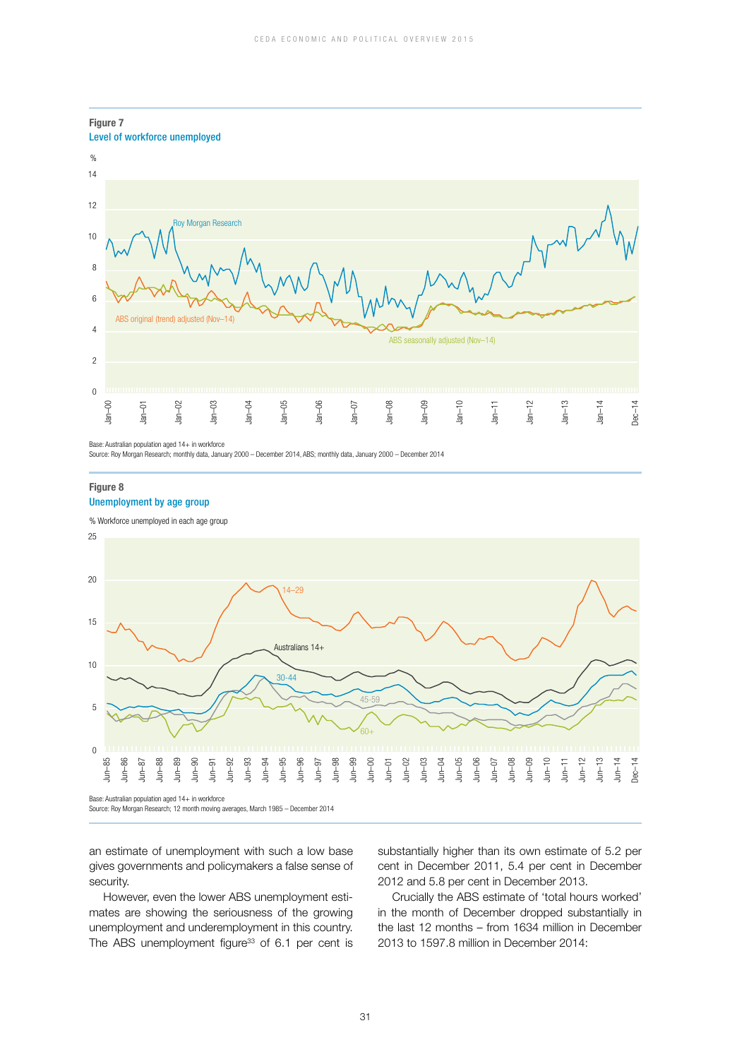![](_page_9_Figure_1.jpeg)

**Figure 7**

Source: Roy Morgan Research; monthly data, January 2000 – December 2014, ABS; monthly data, January 2000 – December 2014

### **Figure 8**

### Unemployment by age group

![](_page_9_Figure_6.jpeg)

![](_page_9_Figure_7.jpeg)

Base: Australian population aged 14+ in workforce<br>Source: Roy Morgan Research; 12 month moving averages, March 1985 - December 2014

an estimate of unemployment with such a low base gives governments and policymakers a false sense of security.

However, even the lower ABS unemployment estimates are showing the seriousness of the growing unemployment and underemployment in this country. The ABS unemployment figure<sup>33</sup> of  $6.1$  per cent is substantially higher than its own estimate of 5.2 per cent in December 2011, 5.4 per cent in December 2012 and 5.8 per cent in December 2013.

Crucially the ABS estimate of 'total hours worked' in the month of December dropped substantially in the last 12 months – from 1634 million in December 2013 to 1597.8 million in December 2014: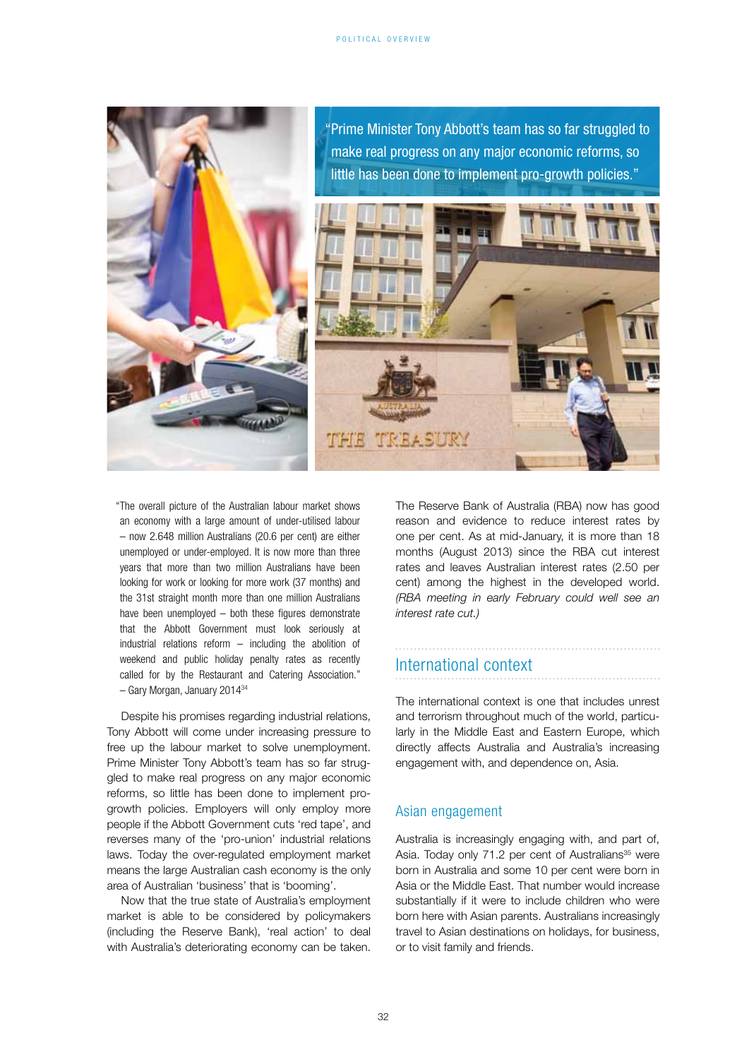![](_page_10_Picture_1.jpeg)

"The overall picture of the Australian labour market shows an economy with a large amount of under-utilised labour – now 2.648 million Australians (20.6 per cent) are either unemployed or under-employed. It is now more than three years that more than two million Australians have been looking for work or looking for more work (37 months) and the 31st straight month more than one million Australians have been unemployed – both these figures demonstrate that the Abbott Government must look seriously at industrial relations reform – including the abolition of weekend and public holiday penalty rates as recently called for by the Restaurant and Catering Association." – Gary Morgan, January 201434

Despite his promises regarding industrial relations, Tony Abbott will come under increasing pressure to free up the labour market to solve unemployment. Prime Minister Tony Abbott's team has so far struggled to make real progress on any major economic reforms, so little has been done to implement progrowth policies. Employers will only employ more people if the Abbott Government cuts 'red tape', and reverses many of the 'pro-union' industrial relations laws. Today the over-regulated employment market means the large Australian cash economy is the only area of Australian 'business' that is 'booming'.

Now that the true state of Australia's employment market is able to be considered by policymakers (including the Reserve Bank), 'real action' to deal with Australia's deteriorating economy can be taken. The Reserve Bank of Australia (RBA) now has good reason and evidence to reduce interest rates by one per cent. As at mid-January, it is more than 18 months (August 2013) since the RBA cut interest rates and leaves Australian interest rates (2.50 per cent) among the highest in the developed world. *(RBA meeting in early February could well see an interest rate cut.)*

### International context

The international context is one that includes unrest and terrorism throughout much of the world, particularly in the Middle East and Eastern Europe, which directly affects Australia and Australia's increasing engagement with, and dependence on, Asia.

### Asian engagement

Australia is increasingly engaging with, and part of, Asia. Today only 71.2 per cent of Australians<sup>35</sup> were born in Australia and some 10 per cent were born in Asia or the Middle East. That number would increase substantially if it were to include children who were born here with Asian parents. Australians increasingly travel to Asian destinations on holidays, for business, or to visit family and friends.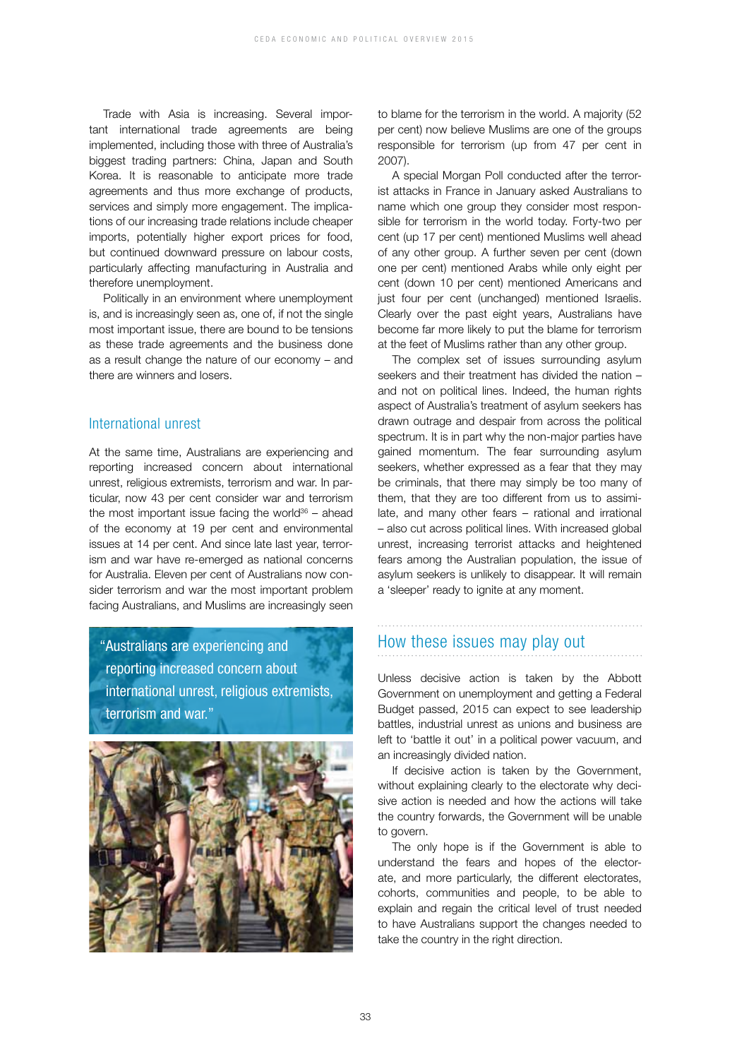Trade with Asia is increasing. Several important international trade agreements are being implemented, including those with three of Australia's biggest trading partners: China, Japan and South Korea. It is reasonable to anticipate more trade agreements and thus more exchange of products, services and simply more engagement. The implications of our increasing trade relations include cheaper imports, potentially higher export prices for food, but continued downward pressure on labour costs, particularly affecting manufacturing in Australia and therefore unemployment.

Politically in an environment where unemployment is, and is increasingly seen as, one of, if not the single most important issue, there are bound to be tensions as these trade agreements and the business done as a result change the nature of our economy – and there are winners and losers.

### International unrest

At the same time, Australians are experiencing and reporting increased concern about international unrest, religious extremists, terrorism and war. In particular, now 43 per cent consider war and terrorism the most important issue facing the world $36 -$  ahead of the economy at 19 per cent and environmental issues at 14 per cent. And since late last year, terrorism and war have re-emerged as national concerns for Australia. Eleven per cent of Australians now consider terrorism and war the most important problem facing Australians, and Muslims are increasingly seen

"Australians are experiencing and reporting increased concern about international unrest, religious extremists, terrorism and war."

![](_page_11_Picture_6.jpeg)

to blame for the terrorism in the world. A majority (52 per cent) now believe Muslims are one of the groups responsible for terrorism (up from 47 per cent in 2007).

A special Morgan Poll conducted after the terrorist attacks in France in January asked Australians to name which one group they consider most responsible for terrorism in the world today. Forty-two per cent (up 17 per cent) mentioned Muslims well ahead of any other group. A further seven per cent (down one per cent) mentioned Arabs while only eight per cent (down 10 per cent) mentioned Americans and just four per cent (unchanged) mentioned Israelis. Clearly over the past eight years, Australians have become far more likely to put the blame for terrorism at the feet of Muslims rather than any other group.

The complex set of issues surrounding asylum seekers and their treatment has divided the nation – and not on political lines. Indeed, the human rights aspect of Australia's treatment of asylum seekers has drawn outrage and despair from across the political spectrum. It is in part why the non-major parties have gained momentum. The fear surrounding asylum seekers, whether expressed as a fear that they may be criminals, that there may simply be too many of them, that they are too different from us to assimilate, and many other fears – rational and irrational – also cut across political lines. With increased global unrest, increasing terrorist attacks and heightened fears among the Australian population, the issue of asylum seekers is unlikely to disappear. It will remain a 'sleeper' ready to ignite at any moment.

### How these issues may play out

Unless decisive action is taken by the Abbott Government on unemployment and getting a Federal Budget passed, 2015 can expect to see leadership battles, industrial unrest as unions and business are left to 'battle it out' in a political power vacuum, and an increasingly divided nation.

If decisive action is taken by the Government, without explaining clearly to the electorate why decisive action is needed and how the actions will take the country forwards, the Government will be unable to govern.

The only hope is if the Government is able to understand the fears and hopes of the electorate, and more particularly, the different electorates, cohorts, communities and people, to be able to explain and regain the critical level of trust needed to have Australians support the changes needed to take the country in the right direction.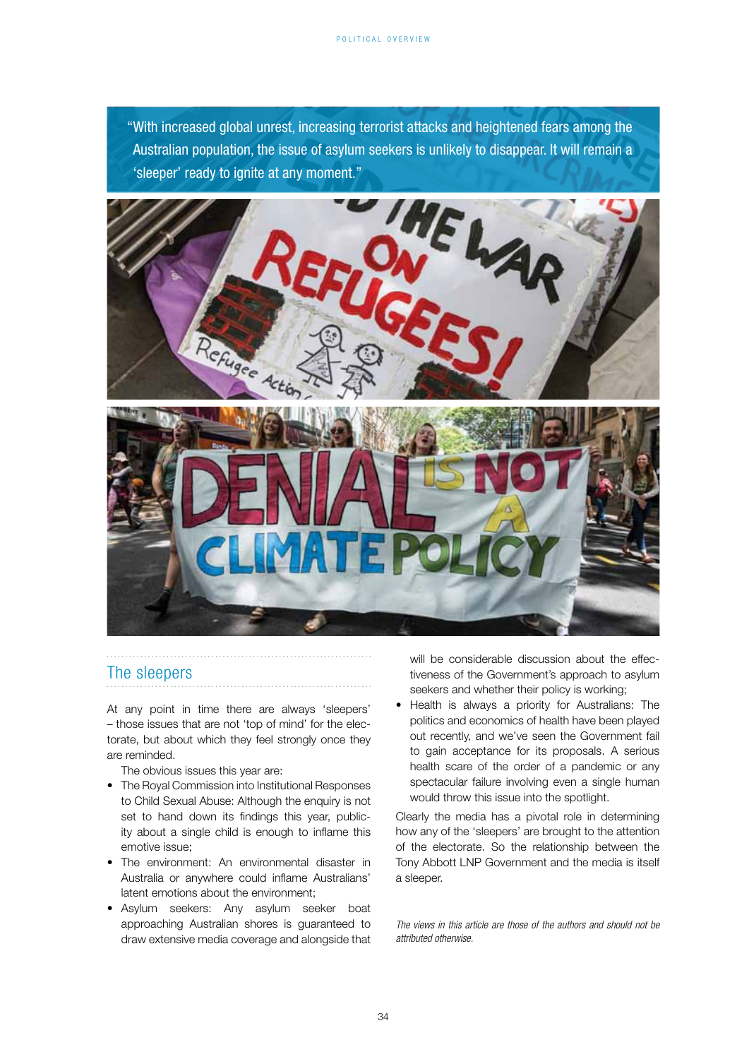"With increased global unrest, increasing terrorist attacks and heightened fears among the Australian population, the issue of asylum seekers is unlikely to disappear. It will remain a 'sleeper' ready to ignite at any moment."

![](_page_12_Picture_2.jpeg)

### The sleepers

At any point in time there are always 'sleepers' – those issues that are not 'top of mind' for the electorate, but about which they feel strongly once they are reminded.

The obvious issues this year are:

- The Royal Commission into Institutional Responses to Child Sexual Abuse: Although the enquiry is not set to hand down its findings this year, publicity about a single child is enough to inflame this emotive issue;
- The environment: An environmental disaster in Australia or anywhere could inflame Australians' latent emotions about the environment;
- Asylum seekers: Any asylum seeker boat approaching Australian shores is guaranteed to draw extensive media coverage and alongside that

will be considerable discussion about the effectiveness of the Government's approach to asylum seekers and whether their policy is working;

• Health is always a priority for Australians: The politics and economics of health have been played out recently, and we've seen the Government fail to gain acceptance for its proposals. A serious health scare of the order of a pandemic or any spectacular failure involving even a single human would throw this issue into the spotlight.

Clearly the media has a pivotal role in determining how any of the 'sleepers' are brought to the attention of the electorate. So the relationship between the Tony Abbott LNP Government and the media is itself a sleeper.

*The views in this article are those of the authors and should not be attributed otherwise.*